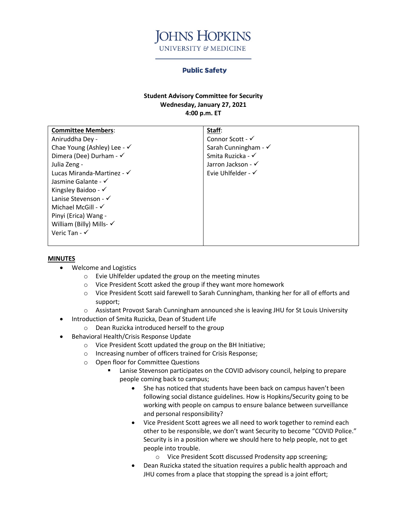

## **Public Safety**

## **Student Advisory Committee for Security Wednesday, January 27, 2021 4:00 p.m. ET**

| <b>Committee Members:</b>              | Staff:                          |
|----------------------------------------|---------------------------------|
| Aniruddha Dey -                        | Connor Scott - $\checkmark$     |
| Chae Young (Ashley) Lee - $\checkmark$ | Sarah Cunningham - $\checkmark$ |
| Dimera (Dee) Durham - $\checkmark$     | Smita Ruzicka - √               |
| Julia Zeng -                           | Jarron Jackson - √              |
| Lucas Miranda-Martinez - $\checkmark$  | Evie Uhlfelder - $\checkmark$   |
| Jasmine Galante - $\checkmark$         |                                 |
| Kingsley Baidoo - $\checkmark$         |                                 |
| Lanise Stevenson - $\checkmark$        |                                 |
| Michael McGill - $\checkmark$          |                                 |
| Pinyi (Erica) Wang -                   |                                 |
| William (Billy) Mills- $\checkmark$    |                                 |
| Veric Tan - $\checkmark$               |                                 |
|                                        |                                 |

## **MINUTES**

- Welcome and Logistics
	- o Evie Uhlfelder updated the group on the meeting minutes
	- o Vice President Scott asked the group if they want more homework
	- o Vice President Scott said farewell to Sarah Cunningham, thanking her for all of efforts and support;
	- o Assistant Provost Sarah Cunningham announced she is leaving JHU for St Louis University
- Introduction of Smita Ruzicka, Dean of Student Life
	- o Dean Ruzicka introduced herself to the group
- Behavioral Health/Crisis Response Update
	- o Vice President Scott updated the group on the BH Initiative;
	- o Increasing number of officers trained for Crisis Response;
	- o Open floor for Committee Questions
		- Lanise Stevenson participates on the COVID advisory council, helping to prepare people coming back to campus;
			- She has noticed that students have been back on campus haven't been following social distance guidelines. How is Hopkins/Security going to be working with people on campus to ensure balance between surveillance and personal responsibility?
			- Vice President Scott agrees we all need to work together to remind each other to be responsible, we don't want Security to become "COVID Police." Security is in a position where we should here to help people, not to get people into trouble.
				- o Vice President Scott discussed Prodensity app screening;
			- Dean Ruzicka stated the situation requires a public health approach and JHU comes from a place that stopping the spread is a joint effort;